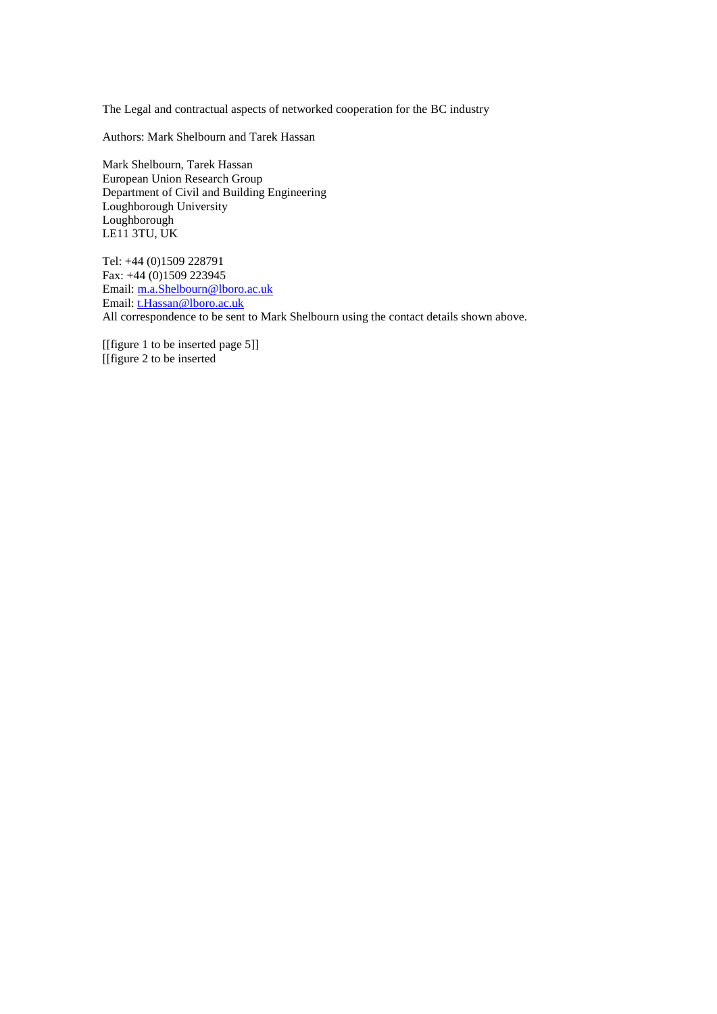The Legal and contractual aspects of networked cooperation for the BC industry

Authors: Mark Shelbourn and Tarek Hassan

Mark Shelbourn, Tarek Hassan European Union Research Group Department of Civil and Building Engineering Loughborough University Loughborough LE11 3TU, UK

Tel: +44 (0)1509 228791 Fax: +44 (0)1509 223945 Email: [m.a.Shelbourn@lboro.ac.uk](mailto:m.a.Shelbourn@lboro.ac.uk) Email: [t.Hassan@lboro.ac.uk](mailto:t.Hassan@lboro.ac.uk) All correspondence to be sent to Mark Shelbourn using the contact details shown above.

[[figure 1 to be inserted page 5]] [[figure 2 to be inserted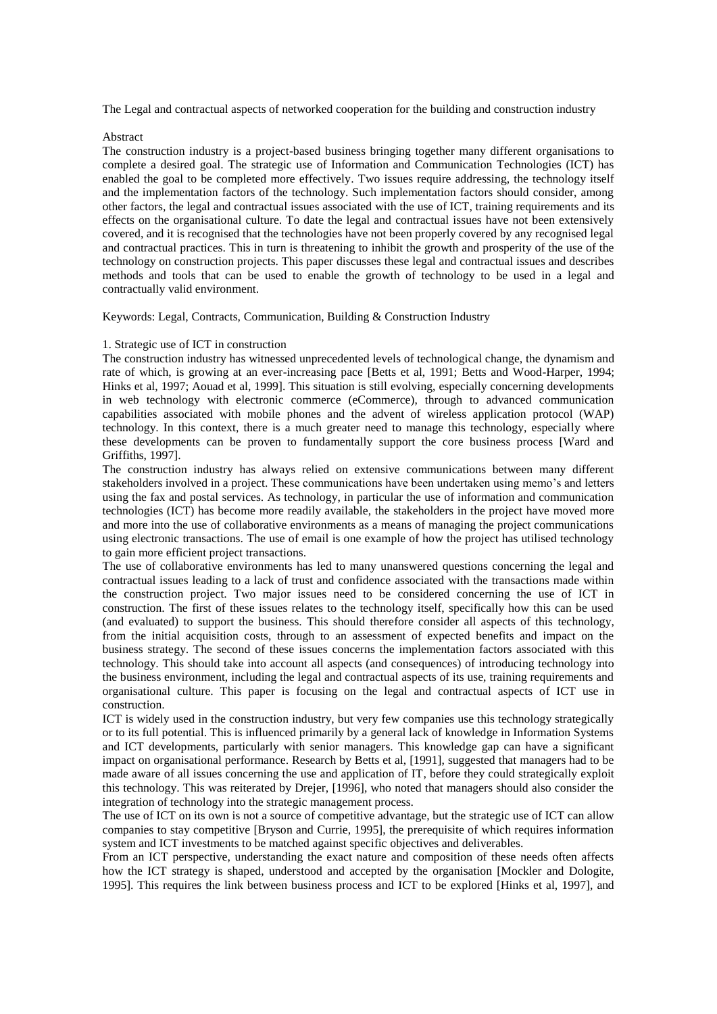The Legal and contractual aspects of networked cooperation for the building and construction industry

#### Abstract

The construction industry is a project-based business bringing together many different organisations to complete a desired goal. The strategic use of Information and Communication Technologies (ICT) has enabled the goal to be completed more effectively. Two issues require addressing, the technology itself and the implementation factors of the technology. Such implementation factors should consider, among other factors, the legal and contractual issues associated with the use of ICT, training requirements and its effects on the organisational culture. To date the legal and contractual issues have not been extensively covered, and it is recognised that the technologies have not been properly covered by any recognised legal and contractual practices. This in turn is threatening to inhibit the growth and prosperity of the use of the technology on construction projects. This paper discusses these legal and contractual issues and describes methods and tools that can be used to enable the growth of technology to be used in a legal and contractually valid environment.

Keywords: Legal, Contracts, Communication, Building & Construction Industry

#### 1. Strategic use of ICT in construction

The construction industry has witnessed unprecedented levels of technological change, the dynamism and rate of which, is growing at an ever-increasing pace [Betts et al, 1991; Betts and Wood-Harper, 1994; Hinks et al, 1997; Aouad et al, 1999]. This situation is still evolving, especially concerning developments in web technology with electronic commerce (eCommerce), through to advanced communication capabilities associated with mobile phones and the advent of wireless application protocol (WAP) technology. In this context, there is a much greater need to manage this technology, especially where these developments can be proven to fundamentally support the core business process [Ward and Griffiths, 1997].

The construction industry has always relied on extensive communications between many different stakeholders involved in a project. These communications have been undertaken using memo's and letters using the fax and postal services. As technology, in particular the use of information and communication technologies (ICT) has become more readily available, the stakeholders in the project have moved more and more into the use of collaborative environments as a means of managing the project communications using electronic transactions. The use of email is one example of how the project has utilised technology to gain more efficient project transactions.

The use of collaborative environments has led to many unanswered questions concerning the legal and contractual issues leading to a lack of trust and confidence associated with the transactions made within the construction project. Two major issues need to be considered concerning the use of ICT in construction. The first of these issues relates to the technology itself, specifically how this can be used (and evaluated) to support the business. This should therefore consider all aspects of this technology, from the initial acquisition costs, through to an assessment of expected benefits and impact on the business strategy. The second of these issues concerns the implementation factors associated with this technology. This should take into account all aspects (and consequences) of introducing technology into the business environment, including the legal and contractual aspects of its use, training requirements and organisational culture. This paper is focusing on the legal and contractual aspects of ICT use in construction.

ICT is widely used in the construction industry, but very few companies use this technology strategically or to its full potential. This is influenced primarily by a general lack of knowledge in Information Systems and ICT developments, particularly with senior managers. This knowledge gap can have a significant impact on organisational performance. Research by Betts et al, [1991], suggested that managers had to be made aware of all issues concerning the use and application of IT, before they could strategically exploit this technology. This was reiterated by Drejer, [1996], who noted that managers should also consider the integration of technology into the strategic management process.

The use of ICT on its own is not a source of competitive advantage, but the strategic use of ICT can allow companies to stay competitive [Bryson and Currie, 1995], the prerequisite of which requires information system and ICT investments to be matched against specific objectives and deliverables.

From an ICT perspective, understanding the exact nature and composition of these needs often affects how the ICT strategy is shaped, understood and accepted by the organisation [Mockler and Dologite, 1995]. This requires the link between business process and ICT to be explored [Hinks et al, 1997], and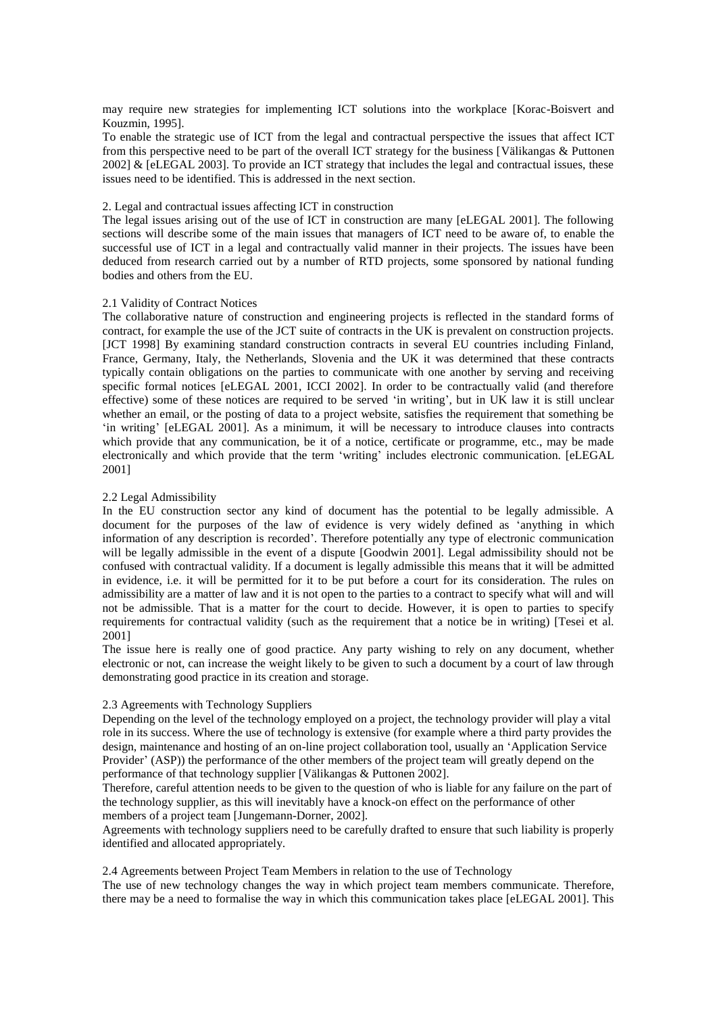may require new strategies for implementing ICT solutions into the workplace [Korac-Boisvert and Kouzmin, 1995].

To enable the strategic use of ICT from the legal and contractual perspective the issues that affect ICT from this perspective need to be part of the overall ICT strategy for the business [Välikangas & Puttonen 2002] & [eLEGAL 2003]. To provide an ICT strategy that includes the legal and contractual issues, these issues need to be identified. This is addressed in the next section.

# 2. Legal and contractual issues affecting ICT in construction

The legal issues arising out of the use of ICT in construction are many [eLEGAL 2001]. The following sections will describe some of the main issues that managers of ICT need to be aware of, to enable the successful use of ICT in a legal and contractually valid manner in their projects. The issues have been deduced from research carried out by a number of RTD projects, some sponsored by national funding bodies and others from the EU.

## 2.1 Validity of Contract Notices

The collaborative nature of construction and engineering projects is reflected in the standard forms of contract, for example the use of the JCT suite of contracts in the UK is prevalent on construction projects. [JCT 1998] By examining standard construction contracts in several EU countries including Finland, France, Germany, Italy, the Netherlands, Slovenia and the UK it was determined that these contracts typically contain obligations on the parties to communicate with one another by serving and receiving specific formal notices [eLEGAL 2001, ICCI 2002]. In order to be contractually valid (and therefore effective) some of these notices are required to be served 'in writing', but in UK law it is still unclear whether an email, or the posting of data to a project website, satisfies the requirement that something be 'in writing' [eLEGAL 2001]. As a minimum, it will be necessary to introduce clauses into contracts which provide that any communication, be it of a notice, certificate or programme, etc., may be made electronically and which provide that the term 'writing' includes electronic communication. [eLEGAL 2001]

## 2.2 Legal Admissibility

In the EU construction sector any kind of document has the potential to be legally admissible. A document for the purposes of the law of evidence is very widely defined as 'anything in which information of any description is recorded'. Therefore potentially any type of electronic communication will be legally admissible in the event of a dispute [Goodwin 2001]. Legal admissibility should not be confused with contractual validity. If a document is legally admissible this means that it will be admitted in evidence, i.e. it will be permitted for it to be put before a court for its consideration. The rules on admissibility are a matter of law and it is not open to the parties to a contract to specify what will and will not be admissible. That is a matter for the court to decide. However, it is open to parties to specify requirements for contractual validity (such as the requirement that a notice be in writing) [Tesei et al. 2001]

The issue here is really one of good practice. Any party wishing to rely on any document, whether electronic or not, can increase the weight likely to be given to such a document by a court of law through demonstrating good practice in its creation and storage.

### 2.3 Agreements with Technology Suppliers

Depending on the level of the technology employed on a project, the technology provider will play a vital role in its success. Where the use of technology is extensive (for example where a third party provides the design, maintenance and hosting of an on-line project collaboration tool, usually an 'Application Service Provider' (ASP)) the performance of the other members of the project team will greatly depend on the performance of that technology supplier [Välikangas & Puttonen 2002].

Therefore, careful attention needs to be given to the question of who is liable for any failure on the part of the technology supplier, as this will inevitably have a knock-on effect on the performance of other members of a project team [Jungemann-Dorner, 2002].

Agreements with technology suppliers need to be carefully drafted to ensure that such liability is properly identified and allocated appropriately.

### 2.4 Agreements between Project Team Members in relation to the use of Technology

The use of new technology changes the way in which project team members communicate. Therefore, there may be a need to formalise the way in which this communication takes place [eLEGAL 2001]. This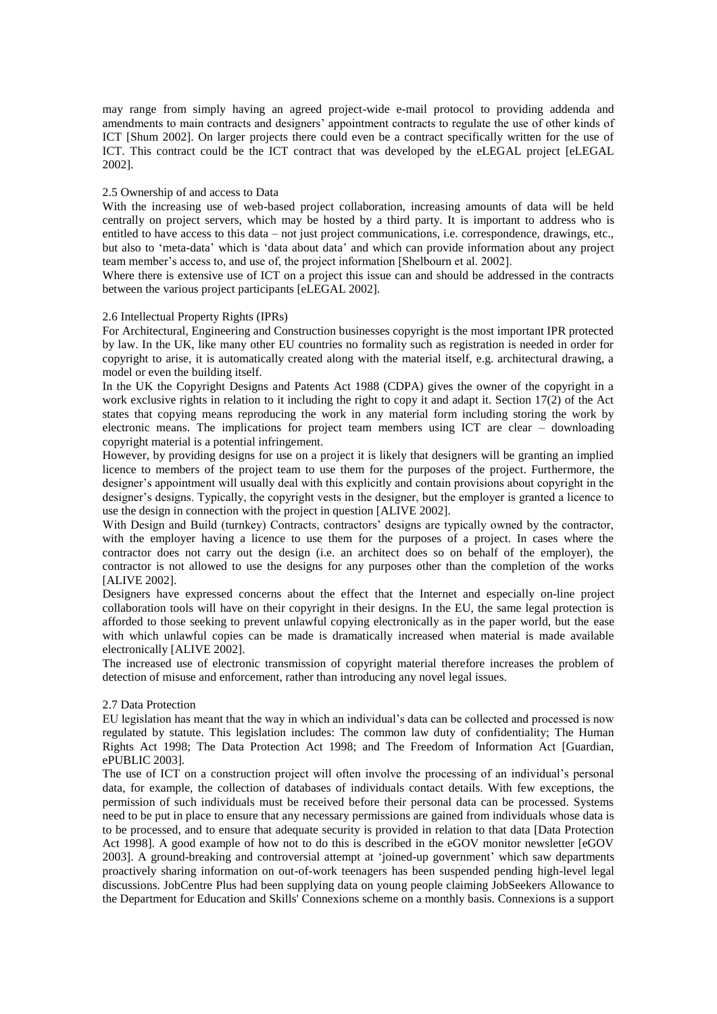may range from simply having an agreed project-wide e-mail protocol to providing addenda and amendments to main contracts and designers' appointment contracts to regulate the use of other kinds of ICT [Shum 2002]. On larger projects there could even be a contract specifically written for the use of ICT. This contract could be the ICT contract that was developed by the eLEGAL project [eLEGAL 2002].

### 2.5 Ownership of and access to Data

With the increasing use of web-based project collaboration, increasing amounts of data will be held centrally on project servers, which may be hosted by a third party. It is important to address who is entitled to have access to this data – not just project communications, i.e. correspondence, drawings, etc., but also to 'meta-data' which is 'data about data' and which can provide information about any project team member's access to, and use of, the project information [Shelbourn et al. 2002].

Where there is extensive use of ICT on a project this issue can and should be addressed in the contracts between the various project participants [eLEGAL 2002].

## 2.6 Intellectual Property Rights (IPRs)

For Architectural, Engineering and Construction businesses copyright is the most important IPR protected by law. In the UK, like many other EU countries no formality such as registration is needed in order for copyright to arise, it is automatically created along with the material itself, e.g. architectural drawing, a model or even the building itself.

In the UK the Copyright Designs and Patents Act 1988 (CDPA) gives the owner of the copyright in a work exclusive rights in relation to it including the right to copy it and adapt it. Section 17(2) of the Act states that copying means reproducing the work in any material form including storing the work by electronic means. The implications for project team members using ICT are clear – downloading copyright material is a potential infringement.

However, by providing designs for use on a project it is likely that designers will be granting an implied licence to members of the project team to use them for the purposes of the project. Furthermore, the designer's appointment will usually deal with this explicitly and contain provisions about copyright in the designer's designs. Typically, the copyright vests in the designer, but the employer is granted a licence to use the design in connection with the project in question [ALIVE 2002].

With Design and Build (turnkey) Contracts, contractors' designs are typically owned by the contractor, with the employer having a licence to use them for the purposes of a project. In cases where the contractor does not carry out the design (i.e. an architect does so on behalf of the employer), the contractor is not allowed to use the designs for any purposes other than the completion of the works [ALIVE 2002].

Designers have expressed concerns about the effect that the Internet and especially on-line project collaboration tools will have on their copyright in their designs. In the EU, the same legal protection is afforded to those seeking to prevent unlawful copying electronically as in the paper world, but the ease with which unlawful copies can be made is dramatically increased when material is made available electronically [ALIVE 2002].

The increased use of electronic transmission of copyright material therefore increases the problem of detection of misuse and enforcement, rather than introducing any novel legal issues.

### 2.7 Data Protection

EU legislation has meant that the way in which an individual's data can be collected and processed is now regulated by statute. This legislation includes: The common law duty of confidentiality; The Human Rights Act 1998; The Data Protection Act 1998; and The Freedom of Information Act [Guardian, ePUBLIC 2003].

The use of ICT on a construction project will often involve the processing of an individual's personal data, for example, the collection of databases of individuals contact details. With few exceptions, the permission of such individuals must be received before their personal data can be processed. Systems need to be put in place to ensure that any necessary permissions are gained from individuals whose data is to be processed, and to ensure that adequate security is provided in relation to that data [Data Protection Act 1998]. A good example of how not to do this is described in the eGOV monitor newsletter [eGOV 2003]. A ground-breaking and controversial attempt at 'joined-up government' which saw departments proactively sharing information on out-of-work teenagers has been suspended pending high-level legal discussions. JobCentre Plus had been supplying data on young people claiming JobSeekers Allowance to the Department for Education and Skills' Connexions scheme on a monthly basis. Connexions is a support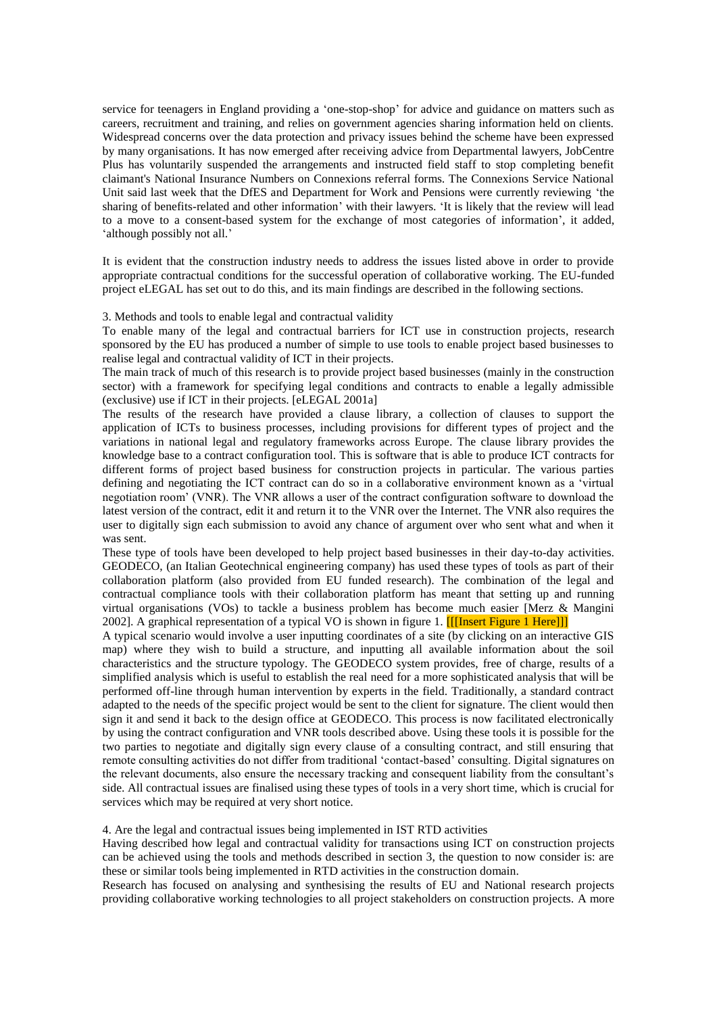service for teenagers in England providing a 'one-stop-shop' for advice and guidance on matters such as careers, recruitment and training, and relies on government agencies sharing information held on clients. Widespread concerns over the data protection and privacy issues behind the scheme have been expressed by many organisations. It has now emerged after receiving advice from Departmental lawyers, JobCentre Plus has voluntarily suspended the arrangements and instructed field staff to stop completing benefit claimant's National Insurance Numbers on Connexions referral forms. The Connexions Service National Unit said last week that the DfES and Department for Work and Pensions were currently reviewing 'the sharing of benefits-related and other information' with their lawyers. 'It is likely that the review will lead to a move to a consent-based system for the exchange of most categories of information', it added, 'although possibly not all.'

It is evident that the construction industry needs to address the issues listed above in order to provide appropriate contractual conditions for the successful operation of collaborative working. The EU-funded project eLEGAL has set out to do this, and its main findings are described in the following sections.

3. Methods and tools to enable legal and contractual validity

To enable many of the legal and contractual barriers for ICT use in construction projects, research sponsored by the EU has produced a number of simple to use tools to enable project based businesses to realise legal and contractual validity of ICT in their projects.

The main track of much of this research is to provide project based businesses (mainly in the construction sector) with a framework for specifying legal conditions and contracts to enable a legally admissible (exclusive) use if ICT in their projects. [eLEGAL 2001a]

The results of the research have provided a clause library, a collection of clauses to support the application of ICTs to business processes, including provisions for different types of project and the variations in national legal and regulatory frameworks across Europe. The clause library provides the knowledge base to a contract configuration tool. This is software that is able to produce ICT contracts for different forms of project based business for construction projects in particular. The various parties defining and negotiating the ICT contract can do so in a collaborative environment known as a 'virtual negotiation room' (VNR). The VNR allows a user of the contract configuration software to download the latest version of the contract, edit it and return it to the VNR over the Internet. The VNR also requires the user to digitally sign each submission to avoid any chance of argument over who sent what and when it was sent.

These type of tools have been developed to help project based businesses in their day-to-day activities. GEODECO, (an Italian Geotechnical engineering company) has used these types of tools as part of their collaboration platform (also provided from EU funded research). The combination of the legal and contractual compliance tools with their collaboration platform has meant that setting up and running virtual organisations (VOs) to tackle a business problem has become much easier [Merz & Mangini 2002]. A graphical representation of a typical VO is shown in figure 1. **[[[Insert Figure 1 Here]]]** 

A typical scenario would involve a user inputting coordinates of a site (by clicking on an interactive GIS map) where they wish to build a structure, and inputting all available information about the soil characteristics and the structure typology. The GEODECO system provides, free of charge, results of a simplified analysis which is useful to establish the real need for a more sophisticated analysis that will be performed off-line through human intervention by experts in the field. Traditionally, a standard contract adapted to the needs of the specific project would be sent to the client for signature. The client would then sign it and send it back to the design office at GEODECO. This process is now facilitated electronically by using the contract configuration and VNR tools described above. Using these tools it is possible for the two parties to negotiate and digitally sign every clause of a consulting contract, and still ensuring that remote consulting activities do not differ from traditional 'contact-based' consulting. Digital signatures on the relevant documents, also ensure the necessary tracking and consequent liability from the consultant's side. All contractual issues are finalised using these types of tools in a very short time, which is crucial for services which may be required at very short notice.

4. Are the legal and contractual issues being implemented in IST RTD activities

Having described how legal and contractual validity for transactions using ICT on construction projects can be achieved using the tools and methods described in section 3, the question to now consider is: are these or similar tools being implemented in RTD activities in the construction domain.

Research has focused on analysing and synthesising the results of EU and National research projects providing collaborative working technologies to all project stakeholders on construction projects. A more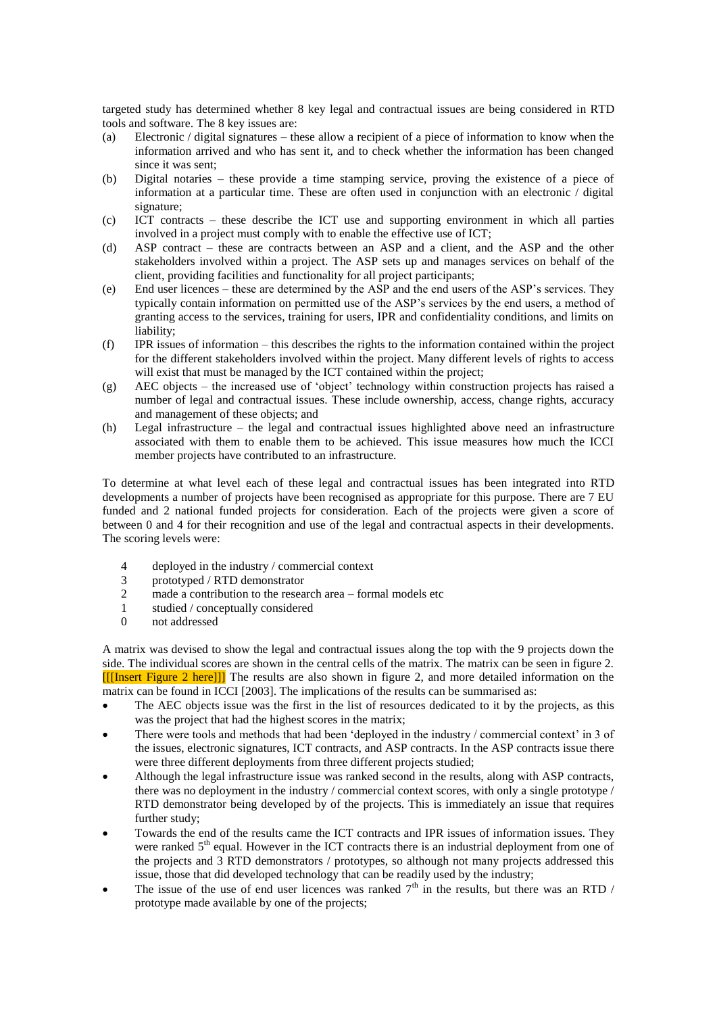targeted study has determined whether 8 key legal and contractual issues are being considered in RTD tools and software. The 8 key issues are:

- (a) Electronic / digital signatures these allow a recipient of a piece of information to know when the information arrived and who has sent it, and to check whether the information has been changed since it was sent;
- (b) Digital notaries these provide a time stamping service, proving the existence of a piece of information at a particular time. These are often used in conjunction with an electronic / digital signature;
- (c) ICT contracts these describe the ICT use and supporting environment in which all parties involved in a project must comply with to enable the effective use of ICT;
- (d) ASP contract these are contracts between an ASP and a client, and the ASP and the other stakeholders involved within a project. The ASP sets up and manages services on behalf of the client, providing facilities and functionality for all project participants;
- (e) End user licences these are determined by the ASP and the end users of the ASP's services. They typically contain information on permitted use of the ASP's services by the end users, a method of granting access to the services, training for users, IPR and confidentiality conditions, and limits on liability;
- (f) IPR issues of information this describes the rights to the information contained within the project for the different stakeholders involved within the project. Many different levels of rights to access will exist that must be managed by the ICT contained within the project;
- (g) AEC objects the increased use of 'object' technology within construction projects has raised a number of legal and contractual issues. These include ownership, access, change rights, accuracy and management of these objects; and
- (h) Legal infrastructure the legal and contractual issues highlighted above need an infrastructure associated with them to enable them to be achieved. This issue measures how much the ICCI member projects have contributed to an infrastructure.

To determine at what level each of these legal and contractual issues has been integrated into RTD developments a number of projects have been recognised as appropriate for this purpose. There are 7 EU funded and 2 national funded projects for consideration. Each of the projects were given a score of between 0 and 4 for their recognition and use of the legal and contractual aspects in their developments. The scoring levels were:

- 4 deployed in the industry / commercial context
- 3 prototyped / RTD demonstrator
- 2 made a contribution to the research area formal models etc
- 1 studied / conceptually considered
- 0 not addressed

A matrix was devised to show the legal and contractual issues along the top with the 9 projects down the side. The individual scores are shown in the central cells of the matrix. The matrix can be seen in figure 2. [[[Insert Figure 2 here]]] The results are also shown in figure 2, and more detailed information on the matrix can be found in ICCI [2003]. The implications of the results can be summarised as:

- The AEC objects issue was the first in the list of resources dedicated to it by the projects, as this was the project that had the highest scores in the matrix;
- There were tools and methods that had been 'deployed in the industry / commercial context' in 3 of the issues, electronic signatures, ICT contracts, and ASP contracts. In the ASP contracts issue there were three different deployments from three different projects studied;
- Although the legal infrastructure issue was ranked second in the results, along with ASP contracts, there was no deployment in the industry / commercial context scores, with only a single prototype / RTD demonstrator being developed by of the projects. This is immediately an issue that requires further study;
- Towards the end of the results came the ICT contracts and IPR issues of information issues. They were ranked  $5<sup>th</sup>$  equal. However in the ICT contracts there is an industrial deployment from one of the projects and 3 RTD demonstrators / prototypes, so although not many projects addressed this issue, those that did developed technology that can be readily used by the industry;
- The issue of the use of end user licences was ranked  $7<sup>th</sup>$  in the results, but there was an RTD / prototype made available by one of the projects;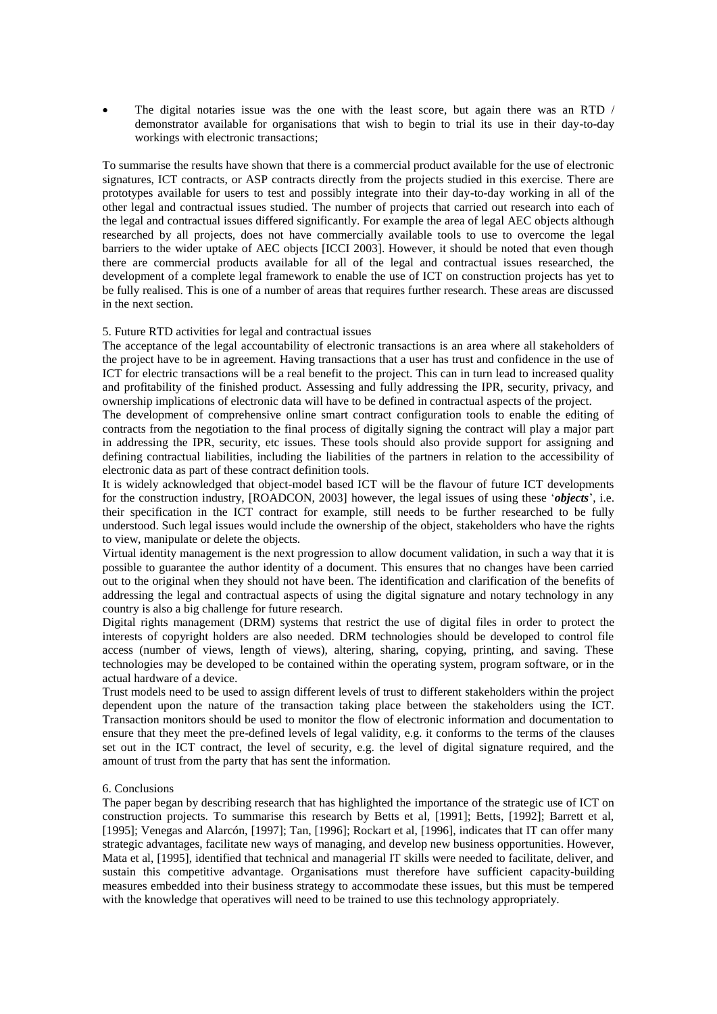The digital notaries issue was the one with the least score, but again there was an RTD / demonstrator available for organisations that wish to begin to trial its use in their day-to-day workings with electronic transactions;

To summarise the results have shown that there is a commercial product available for the use of electronic signatures, ICT contracts, or ASP contracts directly from the projects studied in this exercise. There are prototypes available for users to test and possibly integrate into their day-to-day working in all of the other legal and contractual issues studied. The number of projects that carried out research into each of the legal and contractual issues differed significantly. For example the area of legal AEC objects although researched by all projects, does not have commercially available tools to use to overcome the legal barriers to the wider uptake of AEC objects [ICCI 2003]. However, it should be noted that even though there are commercial products available for all of the legal and contractual issues researched, the development of a complete legal framework to enable the use of ICT on construction projects has yet to be fully realised. This is one of a number of areas that requires further research. These areas are discussed in the next section.

### 5. Future RTD activities for legal and contractual issues

The acceptance of the legal accountability of electronic transactions is an area where all stakeholders of the project have to be in agreement. Having transactions that a user has trust and confidence in the use of ICT for electric transactions will be a real benefit to the project. This can in turn lead to increased quality and profitability of the finished product. Assessing and fully addressing the IPR, security, privacy, and ownership implications of electronic data will have to be defined in contractual aspects of the project.

The development of comprehensive online smart contract configuration tools to enable the editing of contracts from the negotiation to the final process of digitally signing the contract will play a major part in addressing the IPR, security, etc issues. These tools should also provide support for assigning and defining contractual liabilities, including the liabilities of the partners in relation to the accessibility of electronic data as part of these contract definition tools.

It is widely acknowledged that object-model based ICT will be the flavour of future ICT developments for the construction industry, [ROADCON, 2003] however, the legal issues of using these '*objects*', i.e. their specification in the ICT contract for example, still needs to be further researched to be fully understood. Such legal issues would include the ownership of the object, stakeholders who have the rights to view, manipulate or delete the objects.

Virtual identity management is the next progression to allow document validation, in such a way that it is possible to guarantee the author identity of a document. This ensures that no changes have been carried out to the original when they should not have been. The identification and clarification of the benefits of addressing the legal and contractual aspects of using the digital signature and notary technology in any country is also a big challenge for future research.

Digital rights management (DRM) systems that restrict the use of digital files in order to protect the interests of copyright holders are also needed. DRM technologies should be developed to control file access (number of views, length of views), altering, sharing, copying, printing, and saving. These technologies may be developed to be contained within the operating system, program software, or in the actual hardware of a device.

Trust models need to be used to assign different levels of trust to different stakeholders within the project dependent upon the nature of the transaction taking place between the stakeholders using the ICT. Transaction monitors should be used to monitor the flow of electronic information and documentation to ensure that they meet the pre-defined levels of legal validity, e.g. it conforms to the terms of the clauses set out in the ICT contract, the level of security, e.g. the level of digital signature required, and the amount of trust from the party that has sent the information.

# 6. Conclusions

The paper began by describing research that has highlighted the importance of the strategic use of ICT on construction projects. To summarise this research by Betts et al, [1991]; Betts, [1992]; Barrett et al, [1995]; Venegas and Alarcón, [1997]; Tan, [1996]; Rockart et al, [1996], indicates that IT can offer many strategic advantages, facilitate new ways of managing, and develop new business opportunities. However, Mata et al, [1995], identified that technical and managerial IT skills were needed to facilitate, deliver, and sustain this competitive advantage. Organisations must therefore have sufficient capacity-building measures embedded into their business strategy to accommodate these issues, but this must be tempered with the knowledge that operatives will need to be trained to use this technology appropriately.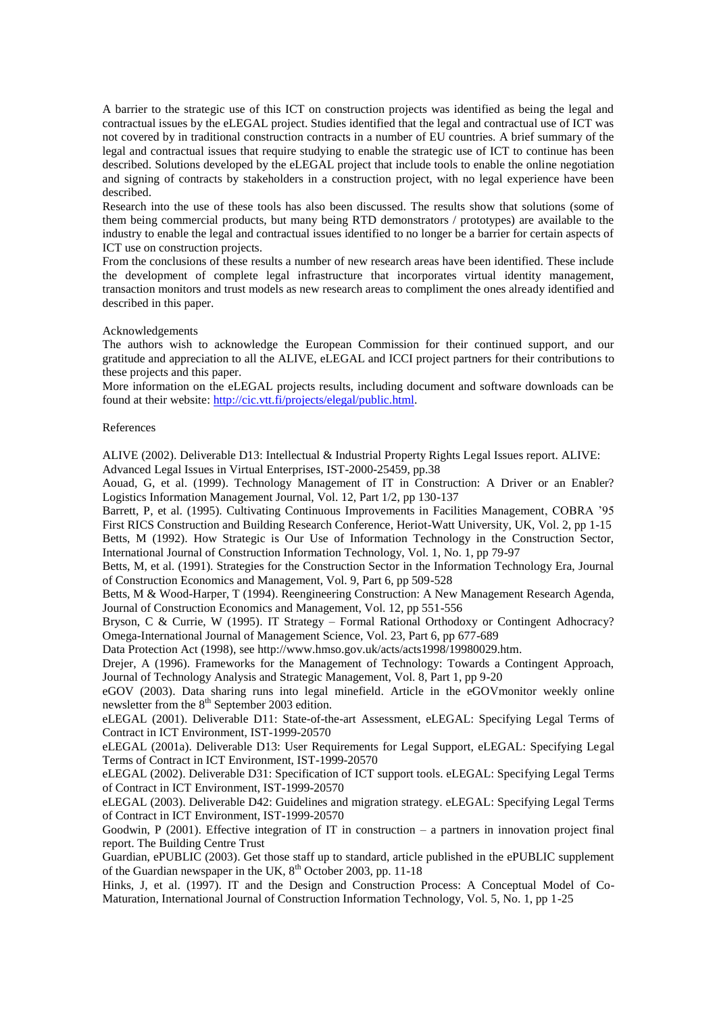A barrier to the strategic use of this ICT on construction projects was identified as being the legal and contractual issues by the eLEGAL project. Studies identified that the legal and contractual use of ICT was not covered by in traditional construction contracts in a number of EU countries. A brief summary of the legal and contractual issues that require studying to enable the strategic use of ICT to continue has been described. Solutions developed by the eLEGAL project that include tools to enable the online negotiation and signing of contracts by stakeholders in a construction project, with no legal experience have been described.

Research into the use of these tools has also been discussed. The results show that solutions (some of them being commercial products, but many being RTD demonstrators / prototypes) are available to the industry to enable the legal and contractual issues identified to no longer be a barrier for certain aspects of ICT use on construction projects.

From the conclusions of these results a number of new research areas have been identified. These include the development of complete legal infrastructure that incorporates virtual identity management, transaction monitors and trust models as new research areas to compliment the ones already identified and described in this paper.

#### Acknowledgements

The authors wish to acknowledge the European Commission for their continued support, and our gratitude and appreciation to all the ALIVE, eLEGAL and ICCI project partners for their contributions to these projects and this paper.

More information on the eLEGAL projects results, including document and software downloads can be found at their website: [http://cic.vtt.fi/projects/elegal/public.html.](http://cic.vtt.fi/projects/elegal/public.html)

### References

ALIVE (2002). Deliverable D13: Intellectual & Industrial Property Rights Legal Issues report. ALIVE: Advanced Legal Issues in Virtual Enterprises, IST-2000-25459, pp.38

Aouad, G, et al. (1999). Technology Management of IT in Construction: A Driver or an Enabler? Logistics Information Management Journal, Vol. 12, Part 1/2, pp 130-137

Barrett, P, et al. (1995). Cultivating Continuous Improvements in Facilities Management, COBRA '95 First RICS Construction and Building Research Conference, Heriot-Watt University, UK, Vol. 2, pp 1-15 Betts, M (1992). How Strategic is Our Use of Information Technology in the Construction Sector, International Journal of Construction Information Technology, Vol. 1, No. 1, pp 79-97

Betts, M, et al. (1991). Strategies for the Construction Sector in the Information Technology Era, Journal of Construction Economics and Management, Vol. 9, Part 6, pp 509-528

Betts, M & Wood-Harper, T (1994). Reengineering Construction: A New Management Research Agenda, Journal of Construction Economics and Management, Vol. 12, pp 551-556

Bryson, C & Currie, W (1995). IT Strategy – Formal Rational Orthodoxy or Contingent Adhocracy? Omega-International Journal of Management Science, Vol. 23, Part 6, pp 677-689

Data Protection Act (1998), see [http://www.hmso.gov.uk/acts/acts1998/19980029.htm.](http://www.hmso.gov.uk/acts/acts1998/19980029.htm)

Drejer, A (1996). Frameworks for the Management of Technology: Towards a Contingent Approach, Journal of Technology Analysis and Strategic Management, Vol. 8, Part 1, pp 9-20

eGOV (2003). Data sharing runs into legal minefield. Article in the eGOVmonitor weekly online newsletter from the 8<sup>th</sup> September 2003 edition.

eLEGAL (2001). Deliverable D11: State-of-the-art Assessment, eLEGAL: Specifying Legal Terms of Contract in ICT Environment, IST-1999-20570

eLEGAL (2001a). Deliverable D13: User Requirements for Legal Support, eLEGAL: Specifying Legal Terms of Contract in ICT Environment, IST-1999-20570

eLEGAL (2002). Deliverable D31: Specification of ICT support tools. eLEGAL: Specifying Legal Terms of Contract in ICT Environment, IST-1999-20570

eLEGAL (2003). Deliverable D42: Guidelines and migration strategy. eLEGAL: Specifying Legal Terms of Contract in ICT Environment, IST-1999-20570

Goodwin, P (2001). Effective integration of IT in construction – a partners in innovation project final report. The Building Centre Trust

Guardian, ePUBLIC (2003). Get those staff up to standard, article published in the ePUBLIC supplement of the Guardian newspaper in the UK,  $8<sup>th</sup>$  October 2003, pp. 11-18

Hinks, J, et al. (1997). IT and the Design and Construction Process: A Conceptual Model of Co-Maturation, International Journal of Construction Information Technology, Vol. 5, No. 1, pp 1-25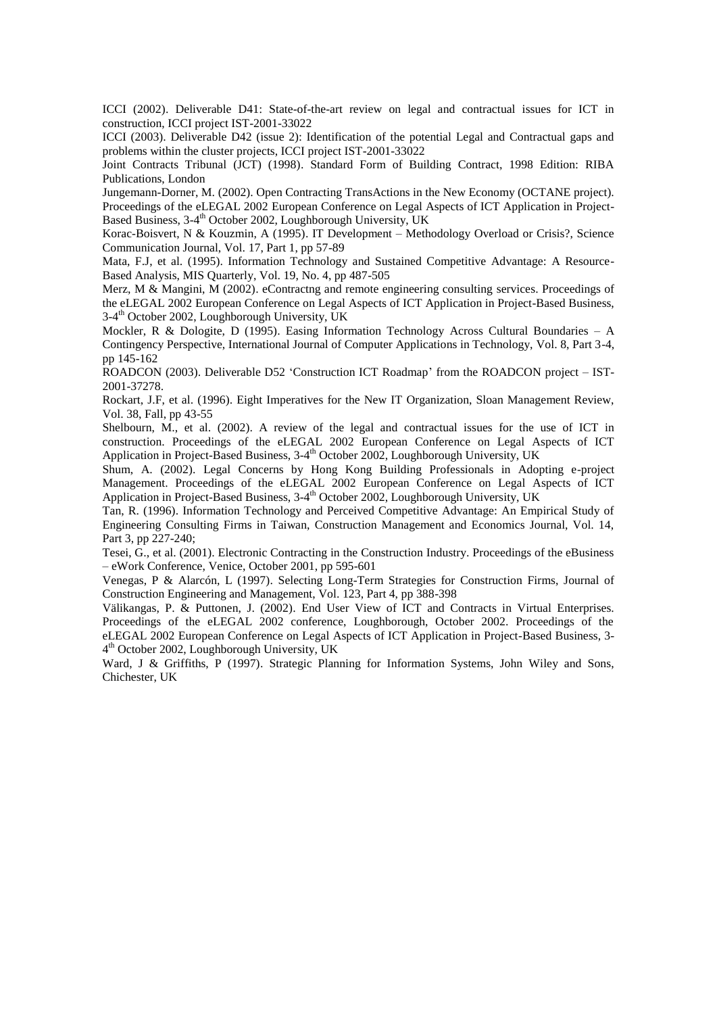ICCI (2002). Deliverable D41: State-of-the-art review on legal and contractual issues for ICT in construction, ICCI project IST-2001-33022

ICCI (2003). Deliverable D42 (issue 2): Identification of the potential Legal and Contractual gaps and problems within the cluster projects, ICCI project IST-2001-33022

Joint Contracts Tribunal (JCT) (1998). Standard Form of Building Contract, 1998 Edition: RIBA Publications, London

Jungemann-Dorner, M. (2002). Open Contracting TransActions in the New Economy (OCTANE project). Proceedings of the eLEGAL 2002 European Conference on Legal Aspects of ICT Application in Project-Based Business, 3-4<sup>th</sup> October 2002, Loughborough University, UK

Korac-Boisvert, N & Kouzmin, A (1995). IT Development – Methodology Overload or Crisis?, Science Communication Journal, Vol. 17, Part 1, pp 57-89

Mata, F.J, et al. (1995). Information Technology and Sustained Competitive Advantage: A Resource-Based Analysis, MIS Quarterly, Vol. 19, No. 4, pp 487-505

Merz, M & Mangini, M (2002). eContractng and remote engineering consulting services. Proceedings of the eLEGAL 2002 European Conference on Legal Aspects of ICT Application in Project-Based Business, 3-4<sup>th</sup> October 2002, Loughborough University, UK

Mockler, R & Dologite, D (1995). Easing Information Technology Across Cultural Boundaries – A Contingency Perspective, International Journal of Computer Applications in Technology, Vol. 8, Part 3-4, pp 145-162

ROADCON (2003). Deliverable D52 'Construction ICT Roadmap' from the ROADCON project – IST-2001-37278.

Rockart, J.F, et al. (1996). Eight Imperatives for the New IT Organization, Sloan Management Review, Vol. 38, Fall, pp 43-55

Shelbourn, M., et al. (2002). A review of the legal and contractual issues for the use of ICT in construction. Proceedings of the eLEGAL 2002 European Conference on Legal Aspects of ICT Application in Project-Based Business, 3-4<sup>th</sup> October 2002, Loughborough University, UK

Shum, A. (2002). Legal Concerns by Hong Kong Building Professionals in Adopting e-project Management. Proceedings of the eLEGAL 2002 European Conference on Legal Aspects of ICT Application in Project-Based Business, 3-4<sup>th</sup> October 2002, Loughborough University, UK

Tan, R. (1996). Information Technology and Perceived Competitive Advantage: An Empirical Study of Engineering Consulting Firms in Taiwan, Construction Management and Economics Journal, Vol. 14, Part 3, pp 227-240;

Tesei, G., et al. (2001). Electronic Contracting in the Construction Industry. Proceedings of the eBusiness – eWork Conference, Venice, October 2001, pp 595-601

Venegas, P & Alarcón, L (1997). Selecting Long-Term Strategies for Construction Firms, Journal of Construction Engineering and Management, Vol. 123, Part 4, pp 388-398

Välikangas, P. & Puttonen, J. (2002). End User View of ICT and Contracts in Virtual Enterprises. Proceedings of the eLEGAL 2002 conference, Loughborough, October 2002. Proceedings of the eLEGAL 2002 European Conference on Legal Aspects of ICT Application in Project-Based Business, 3- 4 th October 2002, Loughborough University, UK

Ward, J & Griffiths, P (1997). Strategic Planning for Information Systems, John Wiley and Sons, Chichester, UK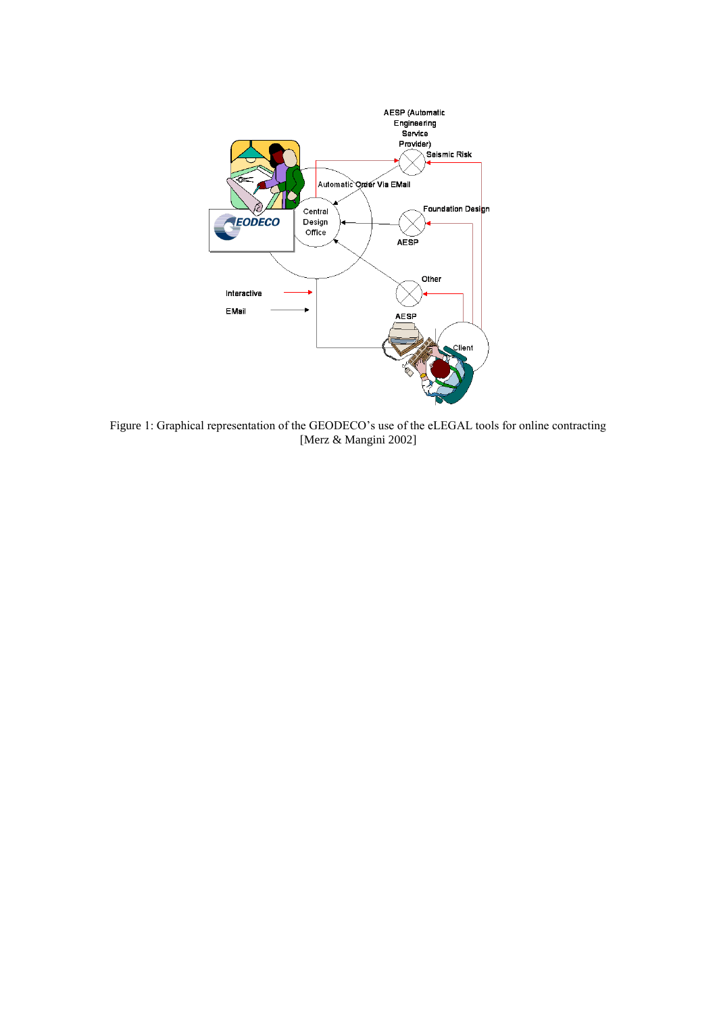

Figure 1: Graphical representation of the GEODECO's use of the eLEGAL tools for online contracting [Merz & Mangini 2002]